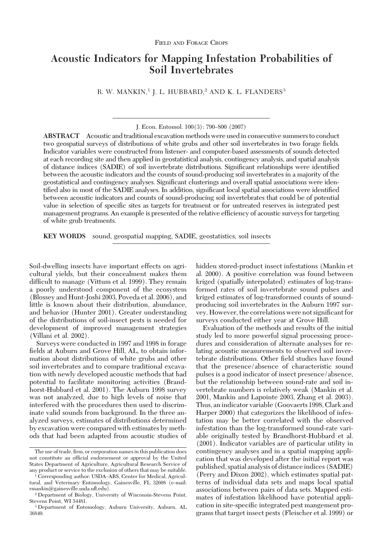# **Acoustic Indicators for Mapping Infestation Probabilities of Soil Invertebrates**

R. W. MANKIN,<sup>1</sup> J. L. HUBBARD,<sup>2</sup> AND K. L. FLANDERS<sup>3</sup>

J. Econ. Entomol. 100(3): 790-800 (2007)

**ABSTRACT** Acoustic and traditional excavation methods were usedin consecutive summers to conduct two geospatial surveys of distributions of white grubs and other soil invertebrates in two forage fields. Indicator variables were constructed from listener- and computer-based assessments of sounds detected at each recording site and then applied in geostatistical analysis, contingency analysis, and spatial analysis of distance indices (SADIE) of soil invertebrate distributions. Significant relationships were identified between the acoustic indicators and the counts of sound-producing soil invertebrates in a majority of the geostatistical and contingency analyses. Significant clusterings and overall spatial associations were identified also in most of the SADIE analyses. In addition, significant local spatial associations were identified between acoustic indicators and counts of sound-producing soil invertebrates that could be of potential value in selection of specific sites as targets for treatment or for untreated reserves in integrated pest management programs. An example is presented of the relative efficiency of acoustic surveys for targeting of white grub treatments.

**KEY WORDS** sound, geospatial mapping, SADIE, geostatistics, soil insects

Soil-dwelling insects have important effects on agricultural yields, but their concealment makes them difficult to manage (Vittum et al. 1999). They remain a poorly understood component of the ecosystem (Blossey and Hunt-Joshi 2003, Poveda et al. 2006), and little is known about their distribution, abundance, and behavior (Hunter 2001). Greater understanding of the distributions of soil-insect pests is needed for development of improved management strategies (Villani et al. 2002).

Surveys were conducted in 1997 and 1998 in forage fields at Auburn and Grove Hill, AL, to obtain information about distributions of white grubs and other soil invertebrates and to compare traditional excavation with newly developed acoustic methods that had potential to facilitate monitoring activities (Brandhorst-Hubbard et al. 2001). The Auburn 1998 survey was not analyzed, due to high levels of noise that interfered with the procedures then used to discriminate valid sounds from background. In the three analyzed surveys, estimates of distributions determined by excavation were compared with estimates by methods that had been adapted from acoustic studies of hidden stored-product insect infestations (Mankin et al. 2000). A positive correlation was found between kriged (spatially interpolated) estimates of log-transformed rates of soil invertebrate sound pulses and kriged estimates of log-transformed counts of soundproducing soil invertebrates in the Auburn 1997 survey. However, the correlations were not significant for surveys conducted either year at Grove Hill.

Evaluation of the methods and results of the initial study led to more powerful signal processing procedures and consideration of alternate analyses for relating acoustic measurements to observed soil invertebrate distributions. Other field studies have found that the presence/absence of characteristic sound pulses is a good indicator of insect presence/absence, but the relationship between sound-rate and soil invertebrate numbers is relatively weak (Mankin et al. 2001, Mankin and Lapointe 2003, Zhang et al. 2003). Thus, an indicator variable (Goovaerts 1998, Clark and Harper 2000) that categorizes the likelihood of infestation may be better correlated with the observed infestation than the log-transformed sound-rate variable originally tested by Brandhorst-Hubbard et al. (2001). Indicator variables are of particular utility in contingency analyses and in a spatial mapping application that was developed after the initial report was published, spatial analysis of distance indices (SADIE) (Perry and Dixon 2002), which estimates spatial patterns of individual data sets and maps local spatial associations between pairs of data sets. Mapped estimates of infestation likelihood have potential application in site-specific integrated pest mangement programs that target insect pests (Fleischer et al. 1999) or

The use of trade, firm, or corporation names in this publication does not constitute an official endorsement or approval by the United States Department of Agriculture, Agricultural Research Service of any product or service to the exclusion of others that may be suitable.

<sup>&</sup>lt;sup>1</sup> Corresponding author: USDA-ARS, Center for Medical, Agricultural, and Veterinary Entomology, Gainesville, FL 32608 (e-mail: rmankin@gainesville.usda.uß.edu).

<sup>2</sup> Department of Biology, University of Wisconsin-Stevens Point, Stevens Point, WI 54481.

<sup>3</sup> Department of Entomology, Auburn University, Auburn, AL 36849.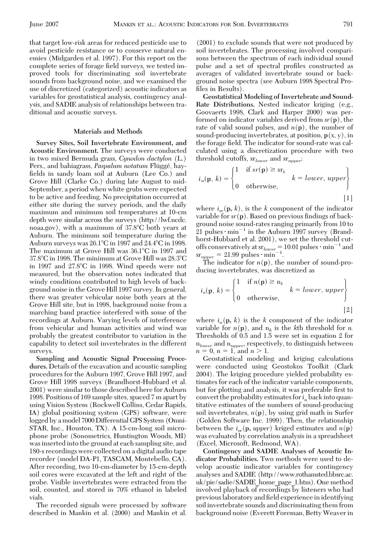that target low-risk areas for reduced pesticide use to avoid pesticide resistance or to conserve natural enemies (Midgarden et al. 1997). For this report on the complete series of forage field surveys, we tested improved tools for discriminating soil invertebrate sounds from background noise, and we examined the use of discretized (categorized) acoustic indicators as variables for geostatistical analysis, contingency analysis, and SADIE analysis of relationships between traditional and acoustic surveys.

## **Materials and Methods**

**Survey Sites, Soil Invertebrate Environment, and Acoustic Environment.** The surveys were conducted in two mixed Bermuda grass, *Cynodon dactylon* (L.) Pers., and bahiagrass, *Paspalum notatum* Flüggé, hayfields in sandy loam soil at Auburn (Lee Co.) and Grove Hill (Clarke Co.) during late August to mid-September, a period when white grubs were expected to be active and feeding. No precipitation occurred at either site during the survey periods, and the daily maximum and minimum soil temperatures at 10-cm depth were similar across the surveys (http://lwf.ncdc. noaa.gov), with a maximum of 37.8C both years at Auburn. The minimum soil temperature during the Auburn surveys was 26.1°C in 1997 and 24.4°C in 1998. The maximum at Grove Hill was  $36.1^{\circ}$ C in 1997 and 37.8°C in 1998. The minimum at Grove Hill was 28.3°C in 1997 and 27.8°C in 1998. Wind speeds were not measured, but the observation notes indicated that windy conditions contributed to high levels of background noise in the Grove Hill 1997 survey. In general, there was greater vehicular noise both years at the Grove Hill site, but in 1998, background noise from a marching band practice interfered with some of the recordings at Auburn. Varying levels of interference from vehicular and human activities and wind was probably the greatest contributor to variation in the capability to detect soil invertebrates in the different surveys.

**Sampling and Acoustic Signal Processing Procedures.** Details of the excavation and acoustic sampling procedures for the Auburn 1997, Grove Hill 1997, and Grove Hill 1998 surveys (Brandhorst-Hubbard et al. 2001) were similar to those described here for Auburn 1998. Positions of 169 sample sites, spaced 7 m apart by using Vision System (Rockwell Collins, Cedar Rapids, IA) global positioning system (GPS) software, were logged by a model 7000 Differential GPS System (Omni-STAR, Inc., Houston, TX). A 15-cm-long soil microphone probe (Sonometrics, Huntington Woods, MI) was inserted into the ground at each sampling site, and 180-s recordings were collected on a digital audio tape recorder (model DA-P1, TASCAM, Montebello, CA). After recording, two 10-cm-diameter by 15-cm-depth soil cores were excavated at the left and right of the probe. Visible invertebrates were extracted from the soil, counted, and stored in 70% ethanol in labeled vials.

The recorded signals were processed by software described in Mankin et al. (2000) and Mankin et al. (2001) to exclude sounds that were not produced by soil invertebrates. The processing involved comparisons between the spectrum of each individual sound pulse and a set of spectral profiles constructed as averages of validated invertebrate sound or background noise spectra (see Auburn 1998 Spectral Profiles in Results).

**Geostatistical Modeling of Invertebrate and Sound-Rate Distributions.** Nested indicator kriging (e.g., Goovaerts 1998, Clark and Harper 2000) was performed on indicator variables derived from *sr*(**p**), the rate of valid sound pulses, and  $n(p)$ , the number of sound-producing invertebrates, at position, **p**(x, y), in the forage field. The indicator for sound-rate was calculated using a discretization procedure with two threshold cutoffs, sr*lower* and sr*upper*:

$$
i_{\rm sr}(\mathbf{p}, k) = \begin{cases} 1 & \text{if } sr(\mathbf{p}) \ge \text{sr}_k \\ 0 & \text{otherwise,} \end{cases} \quad k = lower, \, upper \begin{cases} 1 & \text{if } s & \text{if } s < k \le 1 \end{cases}
$$

where  $i_{sr}(\mathbf{p}, k)$ , is the *k* component of the indicator variable for  $sr(p)$ . Based on previous findings of background noise sound-rates ranging primarily from 10 to 21 pulses  $\cdot$  min<sup>-1</sup> in the Auburn 1997 survey (Brandhorst-Hubbard et al. 2001), we set the threshold cutoffs conservatively at  $sr_{lower} = 10.01$  pulses  $\cdot$  min<sup>-1</sup> and  $sr_{upper} = 21.99 \text{ pulses} \cdot \text{min}^{-1}.$ 

The indicator for  $n(p)$ , the number of sound-producing invertebrates, was discretized as

$$
i_n(\mathbf{p}, k) = \begin{cases} 1 & \text{if } n(\mathbf{p}) \ge n_k \\ 0 & \text{otherwise,} \end{cases} k = lower, upper \qquad (2)
$$

where  $i_n(\mathbf{p}, k)$  is the *k* component of the indicator variable for  $n(\mathbf{p})$ , and  $n_k$  is the *k*th threshold for *n*. Thresholds of 0.5 and 1.5 were set in equation 2 for n*lower* and n*upper,* respectively, to distinguish between  $n = 0, n = 1, \text{ and } n > 1.$ 

Geostatistical modeling and kriging calculations were conducted using Geostokos Toolkit (Clark 2004). The kriging procedure yielded probability estimates for each of the indicator variable components, but for plotting and analysis, it was preferable first to convert the probability estimates for  $i_n$  back into quantitative estimates of the numbers of sound-producing soil invertebrates,  $n(p)$ , by using grid math in Surfer (Golden Software Inc. 1999). Then, the relationship between the  $i_{sr}(\mathbf{p}, \text{upper})$  kriged estimates and  $n(\mathbf{p})$ was evaluated by correlation analysis in a spreadsheet (Excel, Microsoft, Redmond, WA).

**Contingency and SADIE Analyses of Acoustic Indicator Probabilities.** Two methods were used to develop acoustic indicator variables for contingency analyses and SADIE (http://www.rothamsted.bbsrc.ac. uk/pie/sadie/SADIE\_home\_page\_1.htm). One method involved playback of recordings by listeners who had previous laboratory and field experience in identifying soil invertebrate sounds and discriminating them from background noise (Everett Foreman, Betty Weaver in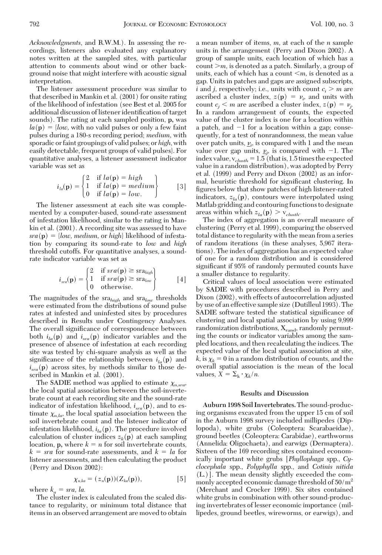*Acknowledgments*, and R.W.M.). In assessing the recordings, listeners also evaluated any explanatory notes written at the sampled sites, with particular attention to comments about wind or other background noise that might interfere with acoustic signal interpretation.

The listener assessment procedure was similar to that described in Mankin et al. (2001) for onsite rating of the likelihood of infestation (see Best et al. 2005 for additional discussion of listener identification of target sounds). The rating at each sampled position, **p,** was  $la(\mathbf{p}) = \{low, \text{ with no valid pulses or only a few faint}\}$ pulses during a 180-s recording period; *medium,* with sporadic or faint groupings of valid pulses; or *high*, with easily detectable, frequent groups of valid pulses}. For quantitative analyses, a listener assessment indicator variable was set as

$$
i_{la}(\mathbf{p}) = \begin{cases} 2 & \text{if } la(\mathbf{p}) = high \\ 1 & \text{if } la(\mathbf{p}) = medium \\ 0 & \text{if } la(\mathbf{p}) = low. \end{cases}
$$
 [3]

The listener assessment at each site was complemented by a computer-based, sound-rate assessment of infestation likelihood, similar to the rating in Mankin et al. (2001). A recording site was assessed to have  $sra(\mathbf{p}) = \{low, medium, or high\}$  likelihood of infestation by comparing its sound-rate to *low* and *high* threshold cutoffs. For quantitative analyses, a soundrate indicator variable was set as

$$
i_{\text{sra}}(\mathbf{p}) = \begin{cases} 2 & \text{if } \text{sra}(\mathbf{p}) \geq \text{sra}_{\text{high}} \\ 1 & \text{if } \text{sra}(\mathbf{p}) \geq \text{sra}_{\text{low}} \\ 0 & \text{otherwise.} \end{cases} \tag{4}
$$

The magnitudes of the sra*high* and sra*low* thresholds were estimated from the distributions of sound pulse rates at infested and uninfested sites by procedures described in Results under Contingency Analyses. The overall significance of correspondence between both  $i_{la}(\mathbf{p})$  and  $i_{sra}(\mathbf{p})$  indicator variables and the presence of absence of infestation at each recording site was tested by chi-square analysis as well as the significance of the relationship between  $i_{la}(\mathbf{p})$  and  $i_{\rm src}(\mathbf{p})$  across sites, by methods similar to those described in Mankin et al. (2001).

The SADIE method was applied to estimate  $\chi_{n,src}$ the local spatial association between the soil-invertebrate count at each recording site and the sound-rate indicator of infestation likelihood,  $i_{\text{stra}}(\mathbf{p})$ , and to estimate  $\chi_{n,la}$ , the local spatial association between the soil invertebrate count and the listener indicator of infestation likelihood,  $i_{la}(\mathbf{p})$ . The procedure involved calculation of cluster indices  $z_k(\mathbf{p})$  at each sampling location,  $\mathbf{p}$ , where  $k = n$  for soil invertebrate counts,  $k = sra$  for sound-rate assessments, and  $k = la$  for listener assessments, and then calculating the product (Perry and Dixon 2002):

$$
\chi_{n,ka} = (z_n(\mathbf{p}))(Z_{ka}(\mathbf{p})), \tag{5}
$$

where  $k_a = sra$ , *la.* 

The cluster index is calculated from the scaled distance to regularity, or minimum total distance that items in an observed arrangement are moved to obtain a mean number of items, *m,* at each of the *n* sample units in the arrangement (Perry and Dixon 2002). A group of sample units, each location of which has a count  $\geq m$ , is denoted as a patch. Similarly, a group of units, each of which has a count  $\leq m$ , is denoted as a gap. Units in patches and gaps are assigned subscripts, *i* and *j*, respectively; i.e., units with count  $c_i > m$  are ascribed a cluster index,  $z(\mathbf{p}) = \nu_i$ , and units with count  $c_j < m$  are ascribed a cluster index,  $z(\mathbf{p}) = v_j$ . In a random arrangement of counts, the expected value of the cluster index is one for a location within a patch, and  $-1$  for a location within a gap; consequently, for a test of nonrandomness, the mean value over patch units,  $\underline{\nu}_i$ , is compared with 1 and the mean value over gap units,  $\underline{\nu}_j$ , is compared with  $-1$ . The index value,  $v_{\text{clusth}} = 1.5$  (that is, 1.5 times the expected value in a random distribution), was adopted by Perry et al. (1999) and Perry and Dixon (2002) as an informal, heuristic threshold for significant clustering. In figures below that show patches of high listener-rated indicators,  $z_{la}(\mathbf{p})$ , contours were interpolated using Matlab gridding and contouring functions to designate areas within which  $z_{la}(\mathbf{p}) > v_{clusth}$ .

The index of aggregation is an overall measure of clustering (Perry et al. 1999), comparing the observed total distance to regularity with the mean from a series of random iterations (in these analyses, 5,967 iterations). The index of aggregation has an expected value of one for a random distribution and is considered significant if 95% of randomly permuted counts have a smaller distance to regularity.

Critical values of local association were estimated by SADIE with procedures described in Perry and Dixon (2002), with effects of autocorrelation adjusted by use of an effective sample size (Dutilleul 1993). The SADIE software tested the statistical significance of clustering and local spatial association by using 9,999 randomization distributions,  $X_{rand}$ , randomly permuting the counts or indicator variables among the sampled locations, and then recalculating the indices. The expected value of the local spatial association at site,  $k$ , is  $\chi_k = 0$  in a random distribution of counts, and the overall spatial association is the mean of the local values,  $\bar{X} = \sum_{k} \cdot \chi_{k}/n$ .

### **Results and Discussion**

**Auburn 1998 Soil Invertebrates.**The sound-producing organisms excavated from the upper 15 cm of soil in the Auburn 1998 survey included millipedes (Diplopoda), white grubs (Coleoptera: Scarabaeidae), ground beetles (Coleoptera: Carabidae), earthworms (Annelida: Oligochaeta), and earwigs (Dermaptera). Sixteen of the 169 recording sites contained economically important white grubs [*Phyllophaga* spp., *Cyclocephala* spp., *Polyphylla* spp., and *Cotinis nitida* (L.)]. The mean density slightly exceeded the commonly accepted economic damage threshold of  $50/m^2$ (Merchant and Crocker 1999). Six sites contained white grubs in combination with other sound-producing invertebrates of lesser economic importance (millipedes, ground beetles, wireworms, or earwigs), and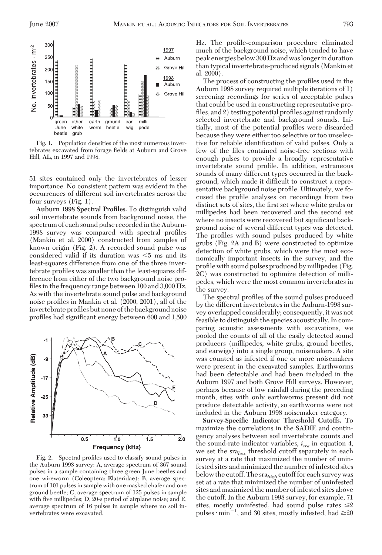

**Fig. 1.** Population densities of the most numerous invertebrates excavated from forage fields at Auburn and Grove Hill, AL, in 1997 and 1998.

51 sites contained only the invertebrates of lesser importance. No consistent pattern was evident in the occurrences of different soil invertebrates across the four surveys (Fig. 1).

**Auburn 1998 Spectral Profiles.** To distinguish valid soil invertebrate sounds from background noise, the spectrum of each sound pulse recorded in the Auburn-1998 survey was compared with spectral profiles (Mankin et al. 2000) constructed from samples of known origin (Fig. 2). A recorded sound pulse was considered valid if its duration was  $\leq$ 5 ms and its least-squares difference from one of the three invertebrate profiles was smaller than the least-squares difference from either of the two background noise profiles in the frequency range between  $100$  and  $3,000$  Hz. As with the invertebrate sound pulse and background noise profiles in Mankin et al. (2000, 2001), all of the invertebrate profiles but none of the background noise profiles had significant energy between 600 and 1,500



Fig. 2. Spectral profiles used to classify sound pulses in the Auburn 1998 survey: A, average spectrum of 367 sound pulses in a sample containing three green June beetles and one wireworm (Coleoptera: Elateridae); B, average spectrum of 101 pulses in sample with one masked chafer and one ground beetle; C, average spectrum of 125 pulses in sample with five millipedes;  $D$ ,  $20$ -s period of airplane noise; and  $E$ , average spectrum of 16 pulses in sample where no soil invertebrates were excavated.

Hz. The profile-comparison procedure eliminated much of the background noise, which tended to have peak energies below 300 Hz and waslongerin duration than typical invertebrate-produced signals (Mankin et al. 2000).

The process of constructing the profiles used in the Auburn 1998 survey required multiple iterations of 1) screening recordings for series of acceptable pulses that could be used in constructing representative profiles, and  $2$ ) testing potential profiles against randomly selected invertebrate and background sounds. Initially, most of the potential profiles were discarded because they were either too selective or too unselective for reliable identification of valid pulses. Only a few of the files contained noise-free sections with enough pulses to provide a broadly representative invertebrate sound profile. In addition, extraneous sounds of many different types occurred in the background, which made it difficult to construct a representative background noise profile. Ultimately, we focused the profile analyses on recordings from two distinct sets of sites, the first set where white grubs or millipedes had been recovered and the second set where no insects were recovered but significant background noise of several different types was detected. The profiles with sound pulses produced by white grubs (Fig. 2A and B) were constructed to optimize detection of white grubs, which were the most economically important insects in the survey, and the profile with sound pulses produced by millipedes (Fig. 2C) was constructed to optimize detection of millipedes, which were the most common invertebrates in the survey.

The spectral profiles of the sound pulses produced by the different invertebrates in the Auburn-1998 survey overlapped considerably; consequently, it was not feasible to distinguish the species acoustically. In comparing acoustic assessments with excavations, we pooled the counts of all of the easily detected sound producers (millipedes, white grubs, ground beetles, and earwigs) into a single group, noisemakers. A site was counted as infested if one or more noisemakers were present in the excavated samples. Earthworms had been detectable and had been included in the Auburn 1997 and both Grove Hill surveys. However, perhaps because of low rainfall during the preceding month, sites with only earthworms present did not produce detectable activity, so earthworms were not included in the Auburn 1998 noisemaker category.

**Survey-Specific Indicator Threshold Cutoffs.** To maximize the correlations in the SADIE and contingency analyses between soil invertebrate counts and the sound-rate indicator variables, *isra* in equation 4, we set the sra*low* threshold cutoff separately in each survey at a rate that maximized the number of uninfested sites and minimized the number of infested sites below the cutoff. The sra*high* cutoff for each survey was set at a rate that minimized the number of uninfested sites and maximized the number ofinfested sites above the cutoff. In the Auburn 1998 survey, for example, 71 sites, mostly uninfested, had sound pulse rates  $\leq 2$ pulses  $\cdot$  min<sup>-1</sup>, and 30 sites, mostly infested, had  $\geq 20$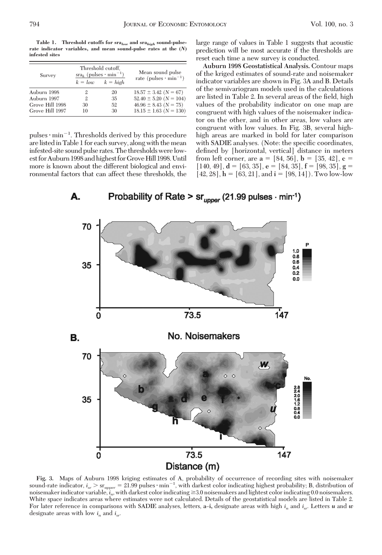**Table 1. Threshold cutoffs for sra***low* **and sra***high* **sound-pulserate indicator variables, and mean sound-pulse rates at the (***N***) infested sites**

| Survey          |    | Threshold cutoff.<br>$\text{sn}_k$ (pulses $\cdot$ min <sup>-1</sup> ) | Mean sound pulse                         |  |
|-----------------|----|------------------------------------------------------------------------|------------------------------------------|--|
|                 |    | $k = low$ $k = high$                                                   | rate (pulses $\cdot$ min <sup>-1</sup> ) |  |
| Auburn 1998     | 2  | 20                                                                     | $18.57 \pm 3.42$ (N = 67)                |  |
| Auburn 1997     | 9. | 35                                                                     | $52.40 \pm 5.20$ (N = 104)               |  |
| Grove Hill 1998 | 30 | 52                                                                     | $46.96 \pm 8.43$ (N = 75)                |  |
| Grove Hill 1997 | 10 | 30                                                                     | $18.15 \pm 1.63$ (N = 130)               |  |

pulses  $\cdot$  min<sup>-1</sup>. Thresholds derived by this procedure arelistedin Table 1 for each survey, along with the mean infested-site sound pulse rates. The thresholds werelowest for Auburn 1998 and highest for Grove Hill 1998. Until more is known about the different biological and environmental factors that can affect these thresholds, the large range of values in Table 1 suggests that acoustic prediction will be most accurate if the thresholds are reset each time a new survey is conducted.

**Auburn 1998 Geostatistical Analysis.** Contour maps of the kriged estimates of sound-rate and noisemaker indicator variables are shown in Fig. 3A and B. Details of the semivariogram models used in the calculations are listed in Table 2. In several areas of the field, high values of the probability indicator on one map are congruent with high values of the noisemaker indicator on the other, and in other areas, low values are congruent with low values. In Fig. 3B, several highhigh areas are marked in bold for later comparison with SADIE analyses. (Note: the specific coordinates, defined by [horizontal, vertical] distance in meters from left corner, are  $a = [84, 56]$ ,  $b = [35, 42]$ ,  $c =$  $[140, 49]$ , **d** = [63, 35], **e** = [84, 35], **f** = [98, 35], **g** =  $[42, 28]$ ,  $h = [63, 21]$ , and  $i = [98, 14]$ ). Two low-low



**Fig. 3.** Maps of Auburn 1998 kriging estimates of A, probability of occurrence of recording sites with noisemaker sound-rate indicator,  $i_{sr} >$  sr<sub>upper</sub> = 21.99 pulses  $\cdot$  min<sup>-1</sup>, with darkest color indicating highest probability; B, distribution of noisemaker indicator variable,  $i_n$ , with darkest color indicating  $\geq 3.0$  noisemakers and lightest color indicating 0.0 noisemakers. White space indicates areas where estimates were not calculated. Details of the geostatistical models are listed in Table 2. For later reference in comparisons with SADIE analyses, letters, a-i, designate areas with high  $i_n$  and  $i_{s_r}$ . Letters *u* and *w* designate areas with low *in* and *isr.*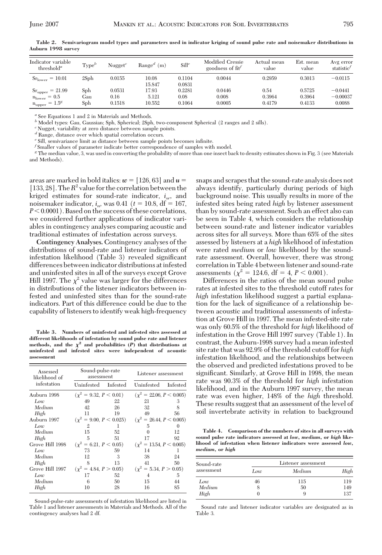| Indicator variable<br>threshold <sup>a</sup>                                                               | Type <sup>b</sup> | $N$ ugget $^c$           | $Ranged$ (m)             | Sill <sup>e</sup>        | Modified Cressie<br>goodness of $\text{fit}^f$ | Actual mean<br>value     | Est. mean<br>value         | Avg error<br>statistic <sup>t</sup> |
|------------------------------------------------------------------------------------------------------------|-------------------|--------------------------|--------------------------|--------------------------|------------------------------------------------|--------------------------|----------------------------|-------------------------------------|
| $Srlower = 10.01$                                                                                          | 2Sph              | 0.0155                   | 10.08<br>15.847          | 0.1104<br>0.0831         | 0.0044                                         | 0.2959                   | 0.3013                     | $-0.0115$                           |
| $Sr_{\text{upper}}$<br>$= 21.99$<br>$= 0.5$<br>$n_{\text{lower}}$<br>$= 1.5^{\circ}$<br>$n_{\text{upper}}$ | Sph<br>Gau<br>Sph | 0.0531<br>0.16<br>0.1518 | 17.93<br>5.121<br>10.552 | 0.2281<br>0.08<br>0.1064 | 0.0446<br>0.008<br>0.0005                      | 0.54<br>0.3964<br>0.4179 | 0.5725<br>0.3964<br>0.4133 | $-0.0441$<br>$-0.00037$<br>0.0088   |

**Table 2. Semivariogram model types and parameters used in indicator kriging of sound pulse rate and noisemaker distributions in Auburn 1998 survey**

*<sup>a</sup>* See Equations 1 and 2 in Materials and Methods.

*<sup>b</sup>* Model types: Gau, Gaussian; Sph, Spherical; 2Sph, two-component Spherical (2 ranges and 2 sills).

*<sup>c</sup>* Nugget, variability at zero distance between sample points.

*<sup>d</sup>* Range, distance over which spatial correlation occurs.

<sup>e</sup> Sill, semivariance limit as distance between sample points becomes infinite.

*<sup>f</sup>* Smaller values of parameter indicate better correspondence of samples with model.

*<sup>g</sup>* The median value, 3, was used in converting the probability of more than one insect back to density estimates shown in Fig. 3 (see Materials and Methods).

areas are marked in bold italics:  $w = [126, 63]$  and  $u =$ [133, 28]. The  $R^2$  value for the correlation between the kriged estimates for sound-rate indicator, *isr,* and noisemaker indicator,  $i_n$ , was 0.41 ( $t = 10.8$ , df = 167,  $P < 0.0001$ ). Based on the success of these correlations, we considered further applications of indicator variables in contingency analyses comparing acoustic and traditional estimates of infestation across surveys.

**Contingency Analyses.** Contingency analyses of the distributions of sound-rate and listener indicators of infestation likelihood (Table 3) revealed significant differences between indicator distributions at infested and uninfested sites in all of the surveys except Grove Hill 1997. The  $\chi^2$  value was larger for the differences in distributions of the listener indicators between infested and uninfested sites than for the sound-rate indicators. Part of this difference could be due to the capability of listeners to identify weak high-frequency

**Table 3. Numbers of uninfested and infested sites assessed at different likelihoods of infestation by sound pulse rate and listener** methods, and the  $\chi^2$  and probabilities  $(P)$  that distributions at **uninfested and infested sites were independent of acoustic assessment**

| Assessed<br>likelihood of | Sound-pulse-rate<br>assessment |    | Listener assessment                                       |    |  |
|---------------------------|--------------------------------|----|-----------------------------------------------------------|----|--|
| infestation               | Uninfested Infested            |    | Uninfested Infested                                       |    |  |
| Auburn 1998               |                                |    | $(\chi^2 = 9.32, P < 0.01)$ $(\chi^2 = 22.06, P < 0.005)$ |    |  |
| Low                       | 49                             | 22 | 21                                                        | 3  |  |
| Medium                    | 42                             | 26 | 32                                                        |    |  |
| High                      | 11                             | 19 | 49                                                        | 56 |  |
| Auburn 1997               | $(\chi^2 = 9.00, P < 0.025)$   |    | $(\chi^2 = 26.44, P \le 0.005)$                           |    |  |
| Low                       | 2                              | 1  | 5                                                         |    |  |
| Medium                    | 15                             | 52 |                                                           | 12 |  |
| High                      | $\overline{5}$                 | 51 | 17                                                        | 92 |  |
| Grove Hill 1998           | $(\chi^2 = 6.21, P < 0.05)$    |    | $(\chi^2 = 13.54, P \le 0.005)$                           |    |  |
| Low                       | 73                             | 59 | 14                                                        |    |  |
| Medium                    | 12                             | 3  | 38                                                        | 24 |  |
| High                      | 8                              | 13 | 41                                                        | 50 |  |
| Grove Hill 1997           | $(\chi^2 = 4.84, P > 0.05)$    |    | $(\chi^2 = 5.34, P > 0.05)$                               |    |  |
| Low                       | 17                             | 52 | 4                                                         | 5  |  |
| Medium                    | 6                              | 50 | 15                                                        | 44 |  |
| High                      | 10                             | 28 | 16                                                        | 85 |  |

Sound-pulse-rate assessments of infestation likelihood are listed in Table 1 and listener assessments in Materials and Methods. All of the contingency analyses had 2 df.

snaps and scrapes that the sound-rate analysis does not always identify, particularly during periods of high background noise. This usually results in more of the infested sites being rated *high* by listener assessment than by sound-rate assessment. Such an effect also can be seen in Table 4, which considers the relationship between sound-rate and listener indicator variables across sites for all surveys. More than 65% of the sites assessed by listeners at a *high* likelihood of infestation were rated *medium* or *low* likelihood by the soundrate assessment. Overall, however, there was strong correlation in Table 4 between listener and sound-rate assessments ( $\chi^2$  = 124.6, df = 4, *P* < 0.001).

Differences in the ratios of the mean sound pulse rates at infested sites to the threshold cutoff rates for *high* infestation likelihood suggest a partial explanation for the lack of significance of a relationship between acoustic and traditional assessments of infestation at Grove Hill in 1997. The mean infested-site rate was only 60.5% of the threshold for *high* likelihood of infestation in the Grove Hill 1997 survey (Table 1). In contrast, the Auburn-1998 survey had a mean infested site rate that was 92.9% of the threshold cutoff for *high* infestation likelihood, and the relationships between the observed and predicted infestations proved to be significant. Similarly, at Grove Hill in 1998, the mean rate was 90.3% of the threshold for *high* infestation likelihood, and in the Auburn 1997 survey, the mean rate was even higher, 148% of the *high* threshold. These results suggest that an assessment of the level of soil invertebrate activity in relation to background

**Table 4. Comparison of the numbers of sites in all surveys with sound pulse rate indicators assessed at** *low, medium,* **or** *high* **likelihood of infestation when listener indicators were assessed** *low, medium,* **or** *high*

| Sound-rate<br>assessment | Listener assessment |        |      |  |
|--------------------------|---------------------|--------|------|--|
|                          | Low                 | Medium | High |  |
| Low                      | 46                  | 115    | 119  |  |
| Medium                   |                     | 50     | 149  |  |
| High                     |                     | 9      | 137  |  |

Sound rate and listener indicator variables are designated as in Table 3.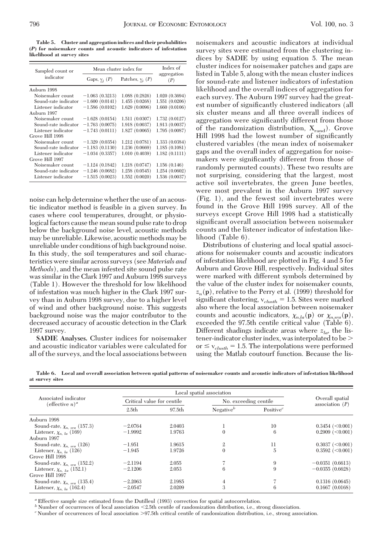**Table 5. Cluster and aggregation indices and their probabilities (***P***) for noisemaker counts and acoustic indicators of infestation likelihood at survey sites**

| Sampled count or     | Mean cluster index for               | Index of           |                    |  |
|----------------------|--------------------------------------|--------------------|--------------------|--|
| indicator            | Gaps, $\underline{v}_i$ ( <i>P</i> ) | Patches, $v_i$ (P) | aggregation<br>(P) |  |
| Auburn 1998          |                                      |                    |                    |  |
| Noisemaker count     | $-1.063(0.3213)$                     | 1.088(0.2826)      | 1.020(0.3694)      |  |
| Sound-rate indicator | $-1.600(0.0141)$                     | 1.455(0.0268)      | 1.551(0.0206)      |  |
| Listener indicator   | $-1.586(0.0102)$                     | 1.629(0.0096)      | 1.660(0.0106)      |  |
| Auburn 1997          |                                      |                    |                    |  |
| Noisemaker count     | $-1.628(0.0154)$                     | 1.511(0.0307)      | 1.732(0.0127)      |  |
| Sound-rate indicator | $-1.763(0.0075)$                     | 1.918 (0.0037)     | 1.913 (0.0037)     |  |
| Listener indicator   | $-1.743(0.0111)$                     | 1.827(0.0065)      | 1.795 (0.0087)     |  |
| Grove Hill 1998      |                                      |                    |                    |  |
| Noisemaker count     | $-1.329(0.0354)$                     | 1.212(0.0781)      | 1.333(0.0384)      |  |
| Sound-rate indicator | $-1.183(0.1130)$                     | 1.236(0.0669)      | 1.185(0.1081)      |  |
| Listener indicator   | $-1.034(0.3357)$                     | 1.010(0.4039)      | 1.182(0.1111)      |  |
| Grove Hill 1997      |                                      |                    |                    |  |
| Noisemaker count     | $-1.124(0.1842)$                     | 1.218 (0.0747)     | 1.156(0.146)       |  |
| Sound-rate indicator | $-1.246(0.0682)$                     | 1.258(0.0545)      | 1.254 (0.0602)     |  |
| Listener indicator   | $-1.515(0.0023)$                     | 1.552(0.0020)      | 1.536 (0.0037)     |  |

noise can help determine whether the use of an acoustic indicator method is feasible in a given survey. In cases where cool temperatures, drought, or physiological factors cause the mean sound pulse rate to drop below the background noise level, acoustic methods may be unreliable. Likewise, acoustic methods may be unreliable under conditions of high background noise. In this study, the soil temperatures and soil characteristics were similar across surveys (see *Materials and Methods*), and the mean infested site sound pulse rate was similar in the Clark 1997 and Auburn 1998 surveys (Table 1). However the threshold for low likelihood of infestation was much higher in the Clark 1997 survey than in Auburn 1998 survey, due to a higher level of wind and other background noise. This suggests background noise was the major contributor to the decreased accuracy of acoustic detection in the Clark 1997 survey.

**SADIE Analyses.** Cluster indices for noisemaker and acoustic indicator variables were calculated for all of the surveys, and the local associations between noisemakers and acoustic indicators at individual survey sites were estimated from the clustering indices by SADIE by using equation 5. The mean cluster indices for noisemaker patches and gaps are listed in Table 5, along with the mean cluster indices for sound-rate and listener indicators of infestation likelihood and the overall indices of aggregation for each survey. The Auburn 1997 survey had the greatest number of significantly clustered indicators (all six cluster means and all three overall indices of aggregation were significantly different from those of the randomization distribution,  $X_{rand}$ ). Grove Hill 1998 had the lowest number of significantly clustered variables (the mean index of noisemaker gaps and the overall index of aggregation for noisemakers were significantly different from those of randomly permuted counts). These two results are not surprising, considering that the largest, most active soil invertebrates, the green June beetles, were most prevalent in the Auburn 1997 survey (Fig. 1), and the fewest soil invertebrates were found in the Grove Hill 1998 survey. All of the surveys except Grove Hill 1998 had a statistically significant overall association between noisemaker counts and the listener indicator of infestation likelihood (Table 6).

Distributions of clustering and local spatial associations for noisemaker counts and acoustic indicators of infestation likelihood are plotted in Fig. 4 and 5 for Auburn and Grove Hill, respectively. Individual sites were marked with different symbols determined by the value of the cluster index for noisemaker counts,  $z_n(\mathbf{p})$ , relative to the Perry et al. (1999) threshold for significant clustering,  $v_{\text{clusth}} = 1.5$ . Sites were marked also where the local association between noisemaker counts and acoustic indicators,  $\chi_{n,la}(\mathbf{p})$  or  $\chi_{n,tra}(\mathbf{p})$ , exceeded the 97.5th centile critical value (Table 6). Different shadings indicate areas where  $z_{l\omega}$ , the listener-indicator cluster index, was interpolated to be or  $\leq v_{clusth} = 1.5$ . The interpolations were performed using the Matlab coutourf function. Because the lis-

**Table 6. Local and overall association between spatial patterns of noisemaker counts and acoustic indicators of infestation likelihood at survey sites**

| Associated indicator<br>$(effective\ n)^a$ |                   | Local spatial association  |                |                       |                                      |  |
|--------------------------------------------|-------------------|----------------------------|----------------|-----------------------|--------------------------------------|--|
|                                            |                   | Critical value for centile |                | No. exceeding centile | Overall spatial<br>association $(P)$ |  |
|                                            | 2.5 <sub>th</sub> | 97.5th                     | Negative $b$   | Positive $^c$         |                                      |  |
| Auburn 1998                                |                   |                            |                |                       |                                      |  |
| Sound-rate, $\chi_{n-sra}$ (157.3)         | $-2.0764$         | 2.0403                     |                | 10                    | $0.3454 \; (<0.001)$                 |  |
| Listener, $\chi_{n \, la}$ (169)           | $-1.9992$         | 1.9763                     | $\Omega$       | 6                     | $0.2909$ $(<0.001$ )                 |  |
| Auburn 1997                                |                   |                            |                |                       |                                      |  |
| Sound-rate, $\chi_{n, gra}$ (126)          | $-1.951$          | 1.9615                     | $\mathfrak{2}$ | 11                    | $0.3037 \; (<0.001$ )                |  |
| Listener, $\chi_{n \, la}$ (126)           | $-1.945$          | 1.9726                     | $\Omega$       | 5                     | $0.3592 \; (<0.001)$                 |  |
| Grove Hill 1998                            |                   |                            |                |                       |                                      |  |
| Sound-rate, $\chi_{n, sra}$ (152.2)        | $-2.1194$         | 2.055                      |                | 9                     | $-0.0351(0.6613)$                    |  |
| Listener, $\chi_{n, Ia}$ (152.1)           | $-2.1206$         | 2.053                      | 6              | 9                     | $-0.0355(0.6628)$                    |  |
| Grove Hill 1997                            |                   |                            |                |                       |                                      |  |
| Sound-rate, $\chi_{n, sra}$ (135.4)        | $-2.2063$         | 2.1985                     | 4              |                       | 0.1316(0.0645)                       |  |
| Listener, $\chi_{n, la}$ (162.4)           | $-2.0547$         | 2.0209                     | 3              | 6                     | 0.1667(0.0168)                       |  |

*a* Effective sample size estimated from the Dutilleul (1993) correction for spatial autocorrelation.<br><sup>b</sup> Number of occurrences of local association <2.5th centile of randomization distribution, i.e., strong dissociation.

 $^c$  Number of occurrences of local association >97.5th critical centile of randomization distribution, i.e., strong association.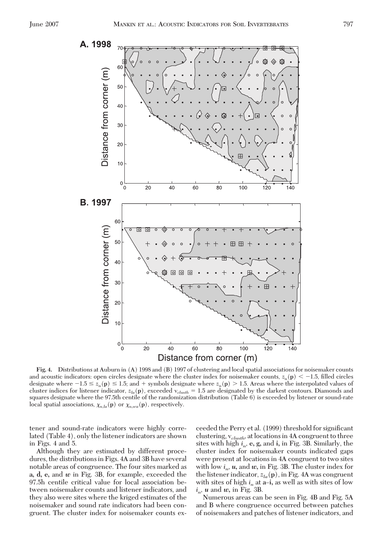

**Fig. 4.** Distributions at Auburn in (A) 1998 and (B) 1997 of clustering and local spatial associations for noisemaker counts and acoustic indicators: open circles designate where the cluster index for noisemaker counts,  $z_n(\mathbf{p}) < -1.5$ , filled circles designate where  $-1.5 \le z_n(\mathbf{p}) \le 1.5$ ; and + symbols designate where  $z_n(\mathbf{p}) > 1.5$ . Areas where the interpolated values of cluster indices for listener indicator, *zla*(**p**), exceeded v*clusth* 1.5 are designated by the darkest contours. Diamonds and squares designate where the 97.5th centile of the randomization distribution (Table 6) is exceeded by listener or sound-rate local spatial associations,  $\chi_{n,la}(\mathbf{p})$  or  $\chi_{n,tra}(\mathbf{p})$ , respectively.

tener and sound-rate indicators were highly correlated (Table 4), only the listener indicators are shown in Figs. 4 and 5.

Although they are estimated by different procedures, the distributions in Figs. 4A and 3B have several notable areas of congruence. The four sites marked as **a, d, e,** and *w* in Fig. 3B, for example, exceeded the 97.5h centile critical value for local association between noisemaker counts and listener indicators, and they also were sites where the kriged estimates of the noisemaker and sound rate indicators had been congruent. The cluster index for noisemaker counts exceeded the Perry et al. (1999) threshold for significant clustering, v*clusth,* at locations in 4A congruent to three sites with high  $i_n$ , **e**, **g**, and **i**, in Fig. 3B. Similarly, the cluster index for noisemaker counts indicated gaps were present at locations in 4A congruent to two sites with low  $i_n$ ,  $u$ , and  $w$ , in Fig. 3B. The cluster index for the listener indicator,  $z_{la}(\mathbf{p})$ , in Fig. 4A was congruent with sites of high  $i_n$  at  $a$ <sup>-</sup> $i$ , as well as with sites of low *in, u* and *w,* in Fig. 3B.

Numerous areas can be seen in Fig. 4B and Fig. 5A and B where congruence occurred between patches of noisemakers and patches of listener indicators, and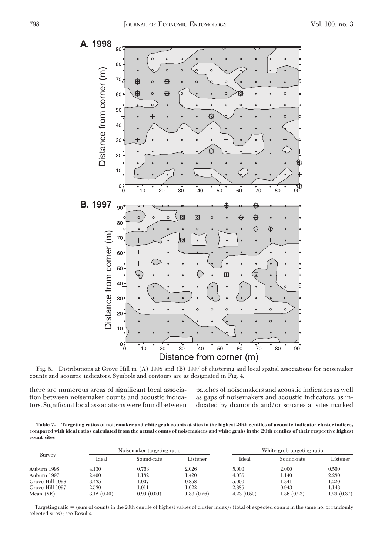

**Fig. 5.** Distributions at Grove Hill in (A) 1998 and (B) 1997 of clustering and local spatial associations for noisemaker counts and acoustic indicators. Symbols and contours are as designated in Fig. 4.

there are numerous areas of significant local association between noisemaker counts and acoustic indicators. Significant local associations were found between patches of noisemakers and acoustic indicators as well as gaps of noisemakers and acoustic indicators, as indicated by diamonds and/or squares at sites marked

**Table 7. Targeting ratios of noisemaker and white grub counts at sites in the highest 20th centiles of acoustic-indicator cluster indices, compared with ideal ratios calculated from the actual counts of noisemakers and white grubs in the 20th centiles of their respective highest count sites**

| Survey          |            | Noisemaker targeting ratio |            |            | White grub targeting ratio |            |  |
|-----------------|------------|----------------------------|------------|------------|----------------------------|------------|--|
|                 | Ideal      | Sound-rate                 | Listener   | Ideal      | Sound-rate                 | Listener   |  |
| Auburn 1998     | 4.130      | 0.763                      | 2.026      | 5.000      | 2.000                      | 0.500      |  |
| Auburn 1997     | 2.400      | 1.182                      | 1.420      | 4.035      | 1.140                      | 2.280      |  |
| Grove Hill 1998 | 3.435      | 1.007                      | 0.858      | 5.000      | 1.341                      | 1.220      |  |
| Grove Hill 1997 | 2.530      | 1.011                      | 1.022      | 2.885      | 0.943                      | 1.143      |  |
| Mean $(SE)$     | 3.12(0.40) | 0.99(0.09)                 | 1.33(0.26) | 4.23(0.50) | 1.36(0.23)                 | 1.29(0.37) |  |

Targeting ratio = (sum of counts in the 20th centile of highest values of cluster index)/(total of expected counts in the same no. of randomly selected sites); see Results.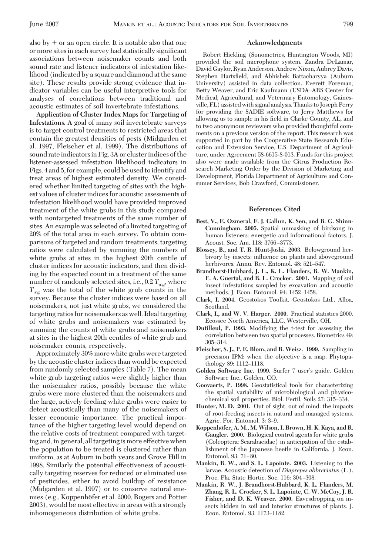also  $by + or$  an open circle. It is notable also that one or more sites in each survey had statistically significant associations between noisemaker counts and both sound rate and listener indicators of infestation likelihood (indicated by a square and diamond at the same site). These results provide strong evidence that indicator variables can be useful interpretive tools for analyses of correlations between traditional and acoustic estimates of soil invertebrate infestations.

**Application of Cluster Index Maps for Targeting of Infestations.** A goal of many soil invertebrate surveys is to target control treatments to restricted areas that contain the greatest densities of pests (Midgarden et al. 1997, Fleischer et al. 1999). The distributions of sound rate indicators in Fig. 3A or cluster indices of the listener-assessed infestation likelihood indicators in Figs. 4 and 5, for example, could be used to identify and treat areas of highest estimated density. We considered whether limited targeting of sites with the highest values of cluster indices for acoustic assessments of infestation likelihood would have provided improved treatment of the white grubs in this study compared with nontargeted treatments of the same number of sites. An example was selected of a limited targeting of 20% of the total area in each survey. To obtain comparisons of targeted and random treatments, targeting ratios were calculated by summing the numbers of white grubs at sites in the highest 20th centile of cluster indices for acoustic indicators, and then dividing by the expected count in a treatment of the same number of randomly selected sites, i.e.,  $0.2 T_{we}$ , where  $T_{we}$  was the total of the white grub counts in the survey. Because the cluster indices were based on all noisemakers, not just white grubs, we considered the targeting ratios for noisemakers as well. Ideal targeting of white grubs and noisemakers was estimated by summing the counts of white grubs and noisemakers at sites in the highest 20th centiles of white grub and noisemaker counts, respectively.

Approximately 30% more white grubs were targeted by the acoustic cluster indices than would be expected from randomly selected samples (Table 7). The mean white grub targeting ratios were slightly higher than the noisemaker ratios, possibly because the white grubs were more clustered than the noisemakers and the large, actively feeding white grubs were easier to detect acoustically than many of the noisemakers of lesser economic importance. The practical importance of the higher targeting level would depend on the relative costs of treatment compared with targeting and, in general, all targeting is more effective when the population to be treated is clustered rather than uniform, as at Auburn in both years and Grove Hill in 1998. Similarly the potential effectiveness of acoustically targeting reserves for reduced or eliminated use of pesticides, either to avoid buildup of resistance (Midgarden et al. 1997) or to conserve natural enemies (e.g., Koppenhöfer et al. 2000, Rogers and Potter 2003), would be most effective in areas with a strongly inhomogeneous distribution of white grubs.

#### **Acknowledgments**

Robert Hickling (Sonometrics, Huntington Woods, MI) provided the soil microphone system. Zandra DeLamar, David Gaylor, Ryan Anderson, Andrew Nixon, Aubrey Davis, Stephen Hartsfield, and Abhishek Battacharyya (Auburn University) assisted in data collection. Everett Foreman, Betty Weaver, and Eric Kaufmann (USDA-ARS Center for Medical, Agricultural, and Veterinary Entomology, Gainesville, FL) assisted with signal analysis. Thanks to Joseph Perry for providing the SADIE software, to Jerry Matthews for allowing us to sample in his field in Clarke County, AL, and to two anonymous reviewers who provided thoughtful comments on a previous version of the report. This research was supported in part by the Cooperative State Research Education and Extension Service, U.S. Department of Agriculture, under Agreement 58-6615-8-013. Funds for this project also were made available from the Citrus Production Research Marketing Order by the Division of Marketing and Development, Florida Department of Agriculture and Consumer Services, Bob Crawford, Commissioner.

## **References Cited**

- **Best, V., E. Ozmeral, F. J. Gallun, K. Sen, and B. G. Shinn-Cunningham. 2005.** Spatial unmasking of birdsong in human listeners: energetic and informational factors. J. Acoust. Soc. Am. 118: 3766-3773.
- **Blossey, B., and T. R. Hunt-Joshi. 2003.** Belowground herbivory by insects: inßuence on plants and aboveground herbivores. Annu. Rev. Entomol. 48: 521-547.
- **Brandhorst-Hubbard, J. L., K. L. Flanders, R. W. Mankin, E. A. Guertal, and R. L. Crocker. 2001.** Mapping of soil insect infestations sampled by excavation and acoustic methods. J. Econ. Entomol. 94: 1452-1458.
- **Clark, I. 2004.** Geostokos Toolkit. Geostokos Ltd., Alloa, Scotland.
- **Clark, I., and W. V. Harper. 2000.** Practical statistics 2000. Ecossee North America, LLC, Westerville, OH.
- **Dutilleul, P. 1993.** Modifying the t-test for assessing the correlation between two spatial processes. Biometrics 49: 305Ð314.
- **Fleischer, S. J., P. E. Blom, and R. Weisz. 1999.** Sampling in precision IPM: when the objective is a map. Phytopathology 89: 1112-1118.
- Golden Software Inc. 1999. Surfer 7 user's guide. Golden Software Inc., Golden, CO.
- **Goovaerts, P. 1998.** Geostatistical tools for characterizing the spatial variability of microbiological and physicochemical soil properties. Biol. Fertil. Soils 27: 315-334.
- **Hunter, M. D. 2001.** Out of sight, out of mind: the impacts of root-feeding insects in natural and managed systems. Agric. For. Entomol. 3: 3–9.
- **Koppenho¨fer, A. M., M. Wilson, I. Brown, H. K. Kaya, and R. Gaugler. 2000.** Biological control agents for white grubs (Coleoptera: Scarabaeidae) in anticipation of the establishment of the Japanese beetle in California. J. Econ. Entomol. 93: 71-80.
- **Mankin, R. W., and S. L. Lapointe. 2003.** Listening to the larvae. Acoustic detection of *Diaprepes abbreviatus* (L.). Proc. Fla. State Hortic. Soc. 116: 304-308.
- **Mankin, R. W., J. Brandhorst-Hubbard, K. L. Flanders, M. Zhang, R. L. Crocker, S. L. Lapointe, C. W. McCoy, J. R. Fisher, and D. K. Weaver. 2000.** Eavesdropping on insects hidden in soil and interior structures of plants. J. Econ. Entomol. 93: 1173-1182.